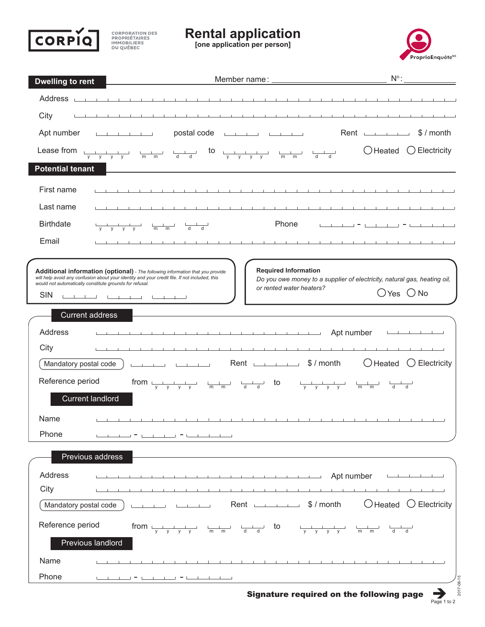

**CORPORATION DES<br>PROPRIÉTAIRES<br>IMMOBILIERS<br>DU QUÉBEC** 

**Rental application [one application per person]**



| <b>Dwelling to rent</b>       |                                                                                                                                                                                                                   | $N^{\circ}$ :                                                                                             |
|-------------------------------|-------------------------------------------------------------------------------------------------------------------------------------------------------------------------------------------------------------------|-----------------------------------------------------------------------------------------------------------|
| Address <sub>L</sub>          |                                                                                                                                                                                                                   |                                                                                                           |
| City                          |                                                                                                                                                                                                                   |                                                                                                           |
| Apt number                    | postal code <u>with the set of the set of the set of the set of the set of the set of the set of the set of the s</u><br>the contract of the contract of                                                          | Rent<br>\$ / month                                                                                        |
|                               | Lease from $\frac{1}{y}$ $\frac{1}{y}$ $\frac{1}{y}$ $\frac{1}{y}$ $\frac{1}{m}$ $\frac{1}{m}$ $\frac{1}{d}$ to $\frac{1}{y}$ $\frac{1}{y}$ $\frac{1}{y}$ $\frac{1}{y}$ $\frac{1}{m}$ $\frac{1}{m}$ $\frac{1}{d}$ | $\bigcirc$ Electricity<br>◯ Heated                                                                        |
| <b>Potential tenant</b>       |                                                                                                                                                                                                                   |                                                                                                           |
| First name                    |                                                                                                                                                                                                                   |                                                                                                           |
| Last name                     | the contract of the contract of the                                                                                                                                                                               |                                                                                                           |
| <b>Birthdate</b>              | Phone                                                                                                                                                                                                             |                                                                                                           |
| Email                         | 1.7.1.7.1                                                                                                                                                                                                         |                                                                                                           |
|                               |                                                                                                                                                                                                                   |                                                                                                           |
|                               | <b>Required Information</b><br>Additional information (optional) - The following information that you provide<br>will help avoid any confusion about your identity and your credit file. If not included, this    | Do you owe money to a supplier of electricity, natural gas, heating oil,                                  |
| <b>SIN</b>                    | would not automatically constitute grounds for refusal.<br>or rented water heaters?<br>المستنبطات والمستنبط المستسلسة                                                                                             | $O$ Yes $O$ No                                                                                            |
|                               | <b>Current address</b>                                                                                                                                                                                            |                                                                                                           |
|                               |                                                                                                                                                                                                                   |                                                                                                           |
| Address                       | Apt number                                                                                                                                                                                                        |                                                                                                           |
| City<br>Mandatory postal code | Rent S/month<br>المستنقذ المستنقذ والمستنقذ والمستنق                                                                                                                                                              | $\bigcirc$ Heated<br>$\bigcirc$ Electricity                                                               |
|                               |                                                                                                                                                                                                                   |                                                                                                           |
| Reference period              | from $\frac{1}{y}$ $\frac{1}{y}$ $\frac{1}{y}$ $\frac{1}{y}$ $\frac{1}{m}$ $\frac{1}{m}$ $\frac{1}{d}$ to $\frac{1}{y}$ $\frac{1}{y}$ $\frac{1}{y}$ $\frac{1}{m}$ $\frac{1}{m}$ $\frac{1}{d}$                     |                                                                                                           |
|                               | <b>Current landlord</b>                                                                                                                                                                                           |                                                                                                           |
| Name                          |                                                                                                                                                                                                                   |                                                                                                           |
| Phone                         |                                                                                                                                                                                                                   |                                                                                                           |
|                               | Previous address                                                                                                                                                                                                  |                                                                                                           |
| Address                       | <b>Example 19 Apt number</b>                                                                                                                                                                                      |                                                                                                           |
| City                          |                                                                                                                                                                                                                   |                                                                                                           |
| Mandatory postal code         | Rent S/month<br>and the control of                                                                                                                                                                                | $\bigcirc$ Heated<br>$\bigcirc$ Electricity                                                               |
| Reference period              | from $\frac{1}{y}$ $\frac{1}{y}$ $\frac{1}{y}$ $\frac{1}{y}$ $\frac{1}{m}$ $\frac{1}{m}$ $\frac{1}{d}$ to $\frac{1}{y}$                                                                                           | $\begin{array}{ccc} \begin{array}{ccc} \text{m} & \text{m} & \text{d} & \text{d} \end{array} \end{array}$ |
|                               | Previous landlord                                                                                                                                                                                                 |                                                                                                           |
| Name                          |                                                                                                                                                                                                                   |                                                                                                           |
| Phone                         |                                                                                                                                                                                                                   |                                                                                                           |
|                               | Signature required on the following page                                                                                                                                                                          | $2017 - 08 - 15$                                                                                          |

Signature required on the following page

 $\sum_{\text{Page 1 to 2}}$